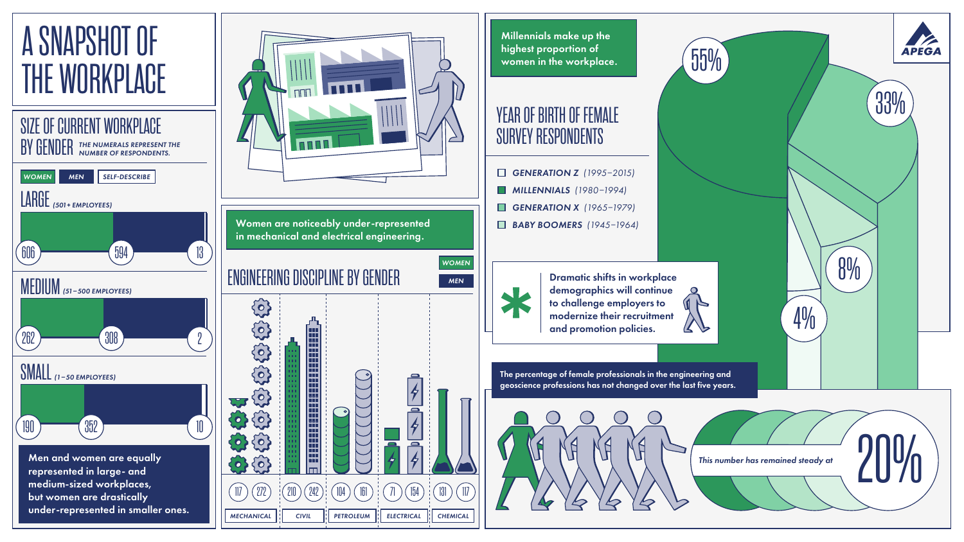Millennials make up the highest proportion of women in the workplace.

- *GENERATION Z (1995–2015)*
- *MILLENNIALS (1980–1994)*
- *GENERATION X (1965–1979)*
- *BABY BOOMERS (1945–1964)*



Dramatic shifts in workplace demographics will continue to challenge employers to modernize their recruitment and promotion policies.



55%

The percentage of female professionals in the engineering and geoscience professions has not changed over the last five years.



*This number has remained steady at*

4%



8%



### YEAR OF BIRTH OF FEMALE SURVEY RESPONDENTS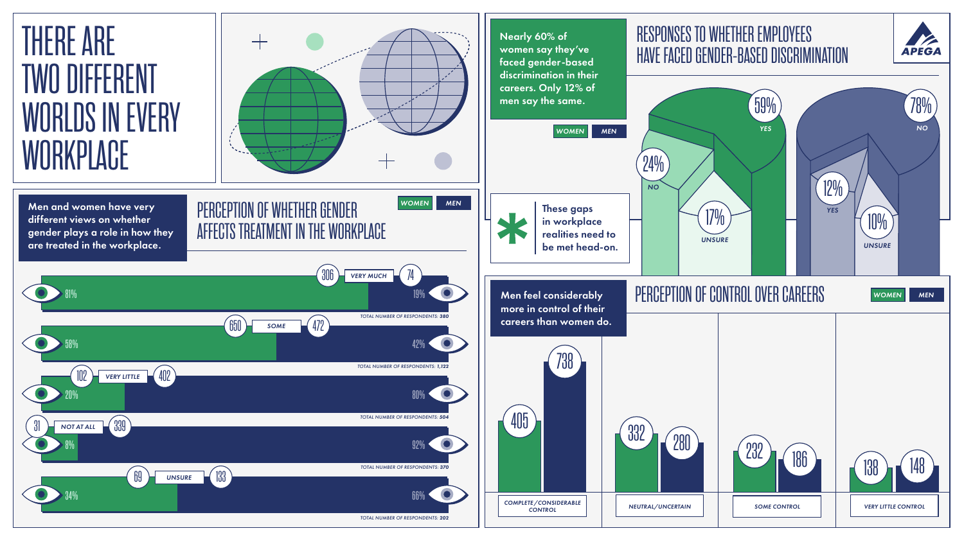



# PERCEPTION OF WHETHER GENDER